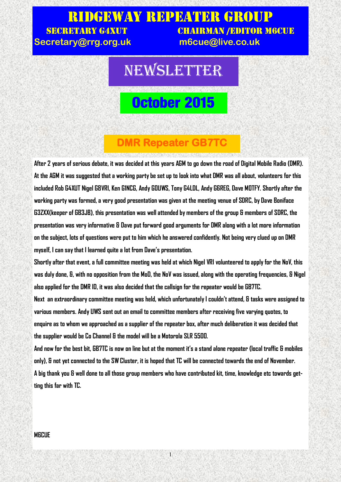### Ridgeway Repeater Group SECRETARY G4XUT CHAIRMAN /EDITOR M6CUE **Secretary@rrg.org.uk m6cue@live.co.uk**

# NEWSLETTER

# **October 2015**

## **DMR Repeater GB7TC**

**After 2 years of serious debate, it was decided at this years AGM to go down the road of Digital Mobile Radio (DMR). At the AGM it was suggested that a working party be set up to look into what DMR was all about, volunteers for this included Rob G4XUT Nigel G8VRI, Ken G1NCG, Andy G0UWS, Tony G4LDL, Andy G6REG, Dave M0TFY. Shortly after the working party was formed, a very good presentation was given at the meeting venue of SDRC, by Dave Boniface G3ZXX(keeper of GB3JB), this presentation was well attended by members of the group & members of SDRC, the presentation was very informative & Dave put forward good arguments for DMR along with a lot more information on the subject, lots of questions were put to him which he answered confidently. Not being very clued up on DMR myself, I can say that I learned quite a lot from Dave's presentation.**

**Shortly after that event, a full committee meeting was held at which Nigel VRI volunteered to apply for the NoV, this was duly done, &, with no opposition from the MoD, the NoV was issued, along with the operating frequencies, & Nigel also applied for the DMR ID, it was also decided that the callsign for the repeater would be GB7TC.** 

**Next an extraordinary committee meeting was held, which unfortunately I couldn't attend, & tasks were assigned to various members. Andy UWS sent out an email to committee members after receiving five varying quotes, to enquire as to whom we approached as a supplier of the repeater box, after much deliberation it was decided that the supplier would be Co Channel & the model will be a Motorola SLR 5500.**

**And now for the best bit, GB7TC is now on line but at the moment it's a stand alone repeater (local traffic & mobiles only), & not yet connected to the SW Cluster, it is hoped that TC will be connected towards the end of November. A big thank you & well done to all those group members who have contributed kit, time, knowledge etc towards getting this far with TC.**

1

#### **M6CUE**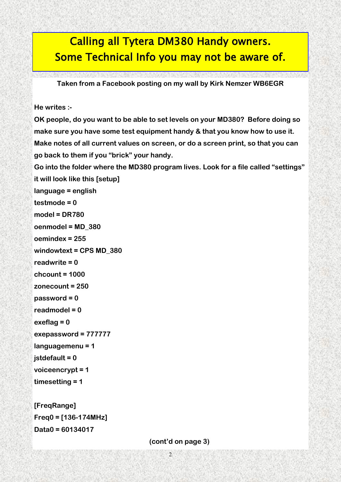## Calling all Tytera DM380 Handy owners. Some Technical Info you may not be aware of.

**Taken from a Facebook posting on my wall by Kirk Nemzer WB6EGR**

**He writes :-**

**OK people, do you want to be able to set levels on your MD380? Before doing so make sure you have some test equipment handy & that you know how to use it. Make notes of all current values on screen, or do a screen print, so that you can go back to them if you "brick" your handy.**

**Go into the folder where the MD380 program lives. Look for a file called "settings" it will look like this [setup]**

```
language = english
testmode = 0
model = DR780
oenmodel = MD_380
oemindex = 255
windowtext = CPS MD_380
```

```
readwrite = 0
```

```
chcount = 1000
```

```
zonecount = 250
```

```
password = 0
```

```
readmodel = 0
```

```
exeflag = 0
```

```
exepassword = 777777
```

```
languagemenu = 1
```

```
jstdefault = 0
```

```
voiceencrypt = 1
```

```
timesetting = 1
```

```
[FreqRange]
Freq0 = [136-174MHz]
Data0 = 60134017
```
 **(cont'd on page 3)**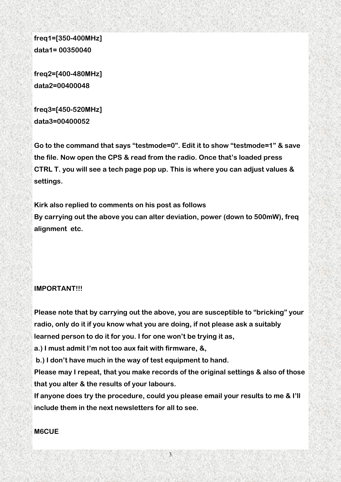**freq1=[350-400MHz] data1= 00350040**

**freq2=[400-480MHz] data2=00400048**

**freq3=[450-520MHz] data3=00400052**

**Go to the command that says "testmode=0". Edit it to show "testmode=1" & save the file. Now open the CPS & read from the radio. Once that's loaded press CTRL T. you will see a tech page pop up. This is where you can adjust values & settings.** 

**Kirk also replied to comments on his post as follows By carrying out the above you can alter deviation, power (down to 500mW), freq alignment etc.**

#### **IMPORTANT!!!**

**Please note that by carrying out the above, you are susceptible to "bricking" your radio, only do it if you know what you are doing, if not please ask a suitably learned person to do it for you. I for one won't be trying it as,** 

**a.) I must admit I'm not too aux fait with firmware, &,**

**b.) I don't have much in the way of test equipment to hand.** 

**Please may I repeat, that you make records of the original settings & also of those that you alter & the results of your labours.** 

**If anyone does try the procedure, could you please email your results to me & I'll include them in the next newsletters for all to see.**

3

#### **M6CUE**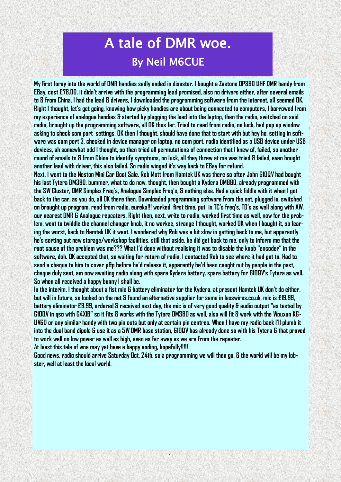# A tale of DMR woe. By Neil M6CUE

**My first foray into the world of DMR handies sadly ended in disaster. I bought a Zastone DP880 UHF DMR handy from EBay, cost £78.00, it didn't arrive with the programming lead promised, also no drivers either, after several emails to & from China, I had the lead & drivers, I downloaded the programming software from the internet, all seemed OK. Right I thought, let's get going, knowing how picky handies are about being connected to computers, I borrowed from my experience of analogue handies & started by plugging the lead into the laptop, then the radio, switched on said radio, brought up the programming software, all OK thus far. Tried to read from radio, no luck, had pop up window asking to check com port settings, OK then I thought, should have done that to start with but hey ho, setting in software was com port 3, checked in device manager on laptop, no com port, radio identified as a USB device under USB devices, ah somewhat odd I thought, so then tried all permutations of connection that I knew of, failed, so another round of emails to & from China to identify symptoms, no luck, all they threw at me was tried & failed, even bought another lead with driver, this also failed. So radio winged it's way back to EBay for refund.** 

**Next, I went to the Neston Mini Car Boot Sale, Rob Mott from Hamtek UK was there so after John G1OQV had bought his last Tytera DM380, bummer, what to do now, thought, then bought a Kydera DM880, already programmed with the SW Cluster, DMR Simplex Freq's, Analogue Simplex Freq's, & nothing else. Had a quick fiddle with it when I got back to the car, as you do, all OK there then. Downloaded programming software from the net, plugged in, switched on brought up program, read from radio, eureka!!! worked first time, put in TC's freq's, TD's as well along with AW, our nearest DMR & Analogue repeaters. Right then, next, write to radio, worked first time as well, now for the problem, went to twiddle the channel changer knob, it no workee, strange I thought, worked OK when I bought it, so fearing the worst, back to Hamtek UK it went. I wondered why Rob was a bit slow in getting back to me, but apparently he's sorting out new storage/workshop facilities, still that aside, he did get back to me, only to inform me that the root cause of the problem was me??? What I'd done without realising it was to disable the knob "encoder" in the software, doh. OK accepted that, so waiting for return of radio, I contacted Rob to see where it had got to. Had to send a cheque to him to cover p&p before he'd release it, apparently he'd been caught out by people in the past, cheque duly sent, am now awaiting radio along with spare Kydera battery, spare battery for G1OQV's Tytera as well. So when all received a happy bunny I shall be.**

**In the interim, I thought about a fist mic & battery eliminator for the Kydera, at present Hamtek UK don't do either, but will in future, so looked on the net & found an alternative supplier for same in lesswires.co.uk, mic is £19.99, battery eliminator £9.99, ordered & received next day, the mic is of very good quality & audio output "as tested by G1OQV in qso with G4XIB" so it fits & works with the Tytera DM380 as well, also will fit & work with the Wouxun KG-UV6D or any similar handy with two pin outs but only at certain pin centres. When I have my radio back I'll plumb it into the dual band dipole & use it as a 5W DMR base station, G1OQV has already done so with his Tytera & that proved to work well on low power as well as high, even as far away as we are from the repeater.** 

**At least this tale of woe may yet have a happy ending, hopefully!!!!!**

**Good news, radio should arrive Saturday Oct. 24th, so a programming we will then go, & the world will be my lobster, well at least the local world.**

4